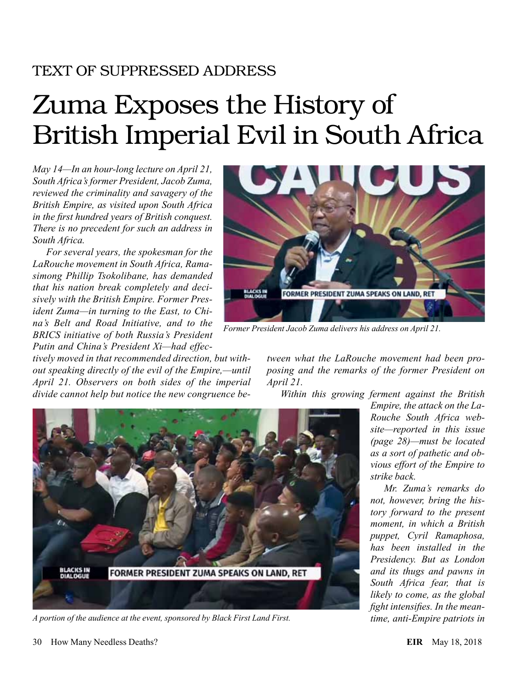# TEXT OF SUPPRESSED ADDRESS

# Zuma Exposes the History of British Imperial Evil in South Africa

*May 14—In an hour-long lecture on April 21, South Africa's former President, Jacob Zuma, reviewed the criminality and savagery of the British Empire, as visited upon South Africa in the first hundred years of British conquest. There is no precedent for such an address in South Africa.*

*For several years, the spokesman for the LaRouche movement in South Africa, Ramasimong Phillip Tsokolibane, has demanded that his nation break completely and decisively with the British Empire. Former President Zuma—in turning to the East, to China's Belt and Road Initiative, and to the BRICS initiative of both Russia's President Putin and China's President Xi—had effec-*

*tively moved in that recommended direction, but without speaking directly of the evil of the Empire,—until April 21. Observers on both sides of the imperial divide cannot help but notice the new congruence be-*



*Former President Jacob Zuma delivers his address on April 21.*

*tween what the LaRouche movement had been proposing and the remarks of the former President on April 21.*

*Within this growing ferment against the British* 



*A portion of the audience at the event, sponsored by Black First Land First.*

*Empire, the attack on the La-Rouche South Africa website—reported in this issue (page 28)—must be located as a sort of pathetic and obvious effort of the Empire to strike back.*

*Mr. Zuma's remarks do not, however, bring the history forward to the present moment, in which a British puppet, Cyril Ramaphosa, has been installed in the Presidency. But as London and its thugs and pawns in South Africa fear, that is likely to come, as the global fight intensifies. In the meantime, anti-Empire patriots in*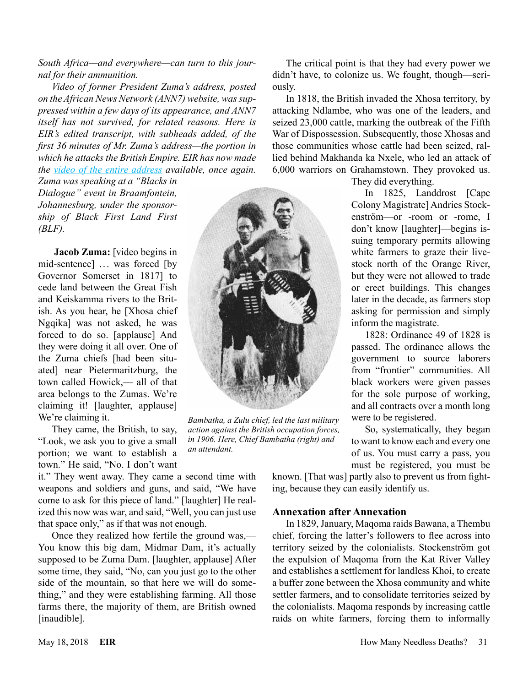*Video of former President Zuma's address, posted on the African News Network (ANN7) website, was suppressed within a few days of its appearance, and ANN7 itself has not survived, for related reasons. Here is EIR's edited transcript, with subheads added, of the first 36 minutes of Mr. Zuma's address—the portion in which he attacks the British Empire. EIR has now made the [video of the entire address](https://www.youtube.com/watch?v=hAGMsOFL8WM) available, once again.* 

*Zuma was speaking at a "Blacks in Dialogue" event in Braamfontein, Johannesburg, under the sponsorship of Black First Land First (BLF).*

 **Jacob Zuma:** [video begins in mid-sentence] ... was forced [by Governor Somerset in 1817] to cede land between the Great Fish and Keiskamma rivers to the British. As you hear, he [Xhosa chief Ngqika] was not asked, he was forced to do so. [applause] And they were doing it all over. One of the Zuma chiefs [had been situated] near Pietermaritzburg, the town called Howick,— all of that area belongs to the Zumas. We're claiming it! [laughter, applause] We're claiming it.

They came, the British, to say, "Look, we ask you to give a small portion; we want to establish a town." He said, "No. I don't want

it." They went away. They came a second time with weapons and soldiers and guns, and said, "We have come to ask for this piece of land." [laughter] He realized this now was war, and said, "Well, you can just use that space only," as if that was not enough.

Once they realized how fertile the ground was,— You know this big dam, Midmar Dam, it's actually supposed to be Zuma Dam. [laughter, applause] After some time, they said, "No, can you just go to the other side of the mountain, so that here we will do something," and they were establishing farming. All those farms there, the majority of them, are British owned [inaudible].



*Bambatha, a Zulu chief, led the last military action against the British occupation forces, in 1906. Here, Chief Bambatha (right) and an attendant.*

The critical point is that they had every power we didn't have, to colonize us. We fought, though—seriously.

In 1818, the British invaded the Xhosa territory, by attacking Ndlambe, who was one of the leaders, and seized 23,000 cattle, marking the outbreak of the Fifth War of Dispossession. Subsequently, those Xhosas and those communities whose cattle had been seized, rallied behind Makhanda ka Nxele, who led an attack of 6,000 warriors on Grahamstown. They provoked us.

They did everything.

In 1825, Landdrost [Cape Colony Magistrate] Andries Stockenström—or -room or -rome, I don't know [laughter]—begins issuing temporary permits allowing white farmers to graze their livestock north of the Orange River, but they were not allowed to trade or erect buildings. This changes later in the decade, as farmers stop asking for permission and simply inform the magistrate.

1828: Ordinance 49 of 1828 is passed. The ordinance allows the government to source laborers from "frontier" communities. All black workers were given passes for the sole purpose of working, and all contracts over a month long were to be registered.

So, systematically, they began to want to know each and every one of us. You must carry a pass, you must be registered, you must be

known. [That was] partly also to prevent us from fighting, because they can easily identify us.

## **Annexation after Annexation**

In 1829, January, Maqoma raids Bawana, a Thembu chief, forcing the latter's followers to flee across into territory seized by the colonialists. Stockenström got the expulsion of Maqoma from the Kat River Valley and establishes a settlement for landless Khoi, to create a buffer zone between the Xhosa community and white settler farmers, and to consolidate territories seized by the colonialists. Maqoma responds by increasing cattle raids on white farmers, forcing them to informally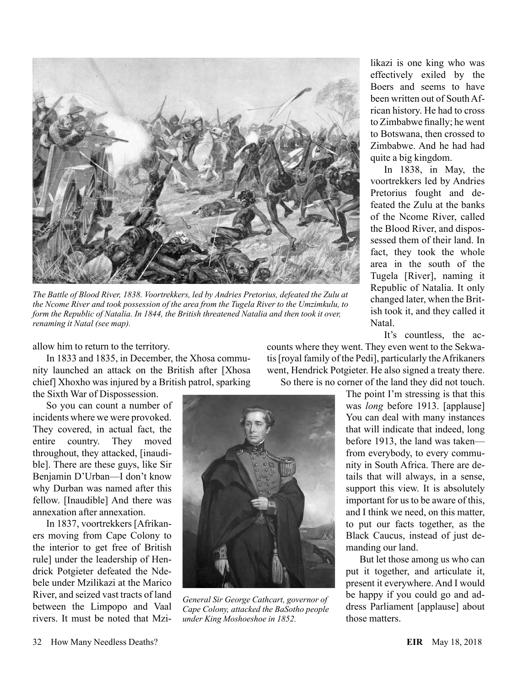

*The Battle of Blood River, 1838. Voortrekkers, led by Andries Pretorius, defeated the Zulu at the Ncome River and took possession of the area from the Tugela River to the Umzimkulu, to form the Republic of Natalia. In 1844, the British threatened Natalia and then took it over, renaming it Natal (see map).*

allow him to return to the territory.

In 1833 and 1835, in December, the Xhosa community launched an attack on the British after [Xhosa chief] Xhoxho was injured by a British patrol, sparking

the Sixth War of Dispossession.

So you can count a number of incidents where we were provoked. They covered, in actual fact, the entire country. They moved throughout, they attacked, [inaudible]. There are these guys, like Sir Benjamin D'Urban—I don't know why Durban was named after this fellow. [Inaudible] And there was annexation after annexation.

In 1837, voortrekkers [Afrikaners moving from Cape Colony to the interior to get free of British rule] under the leadership of Hendrick Potgieter defeated the Ndebele under Mzilikazi at the Marico River, and seized vast tracts of land between the Limpopo and Vaal rivers. It must be noted that Mzi-



likazi is one king who was effectively exiled by the Boers and seems to have been written out of South African history. He had to cross to Zimbabwe finally; he went to Botswana, then crossed to Zimbabwe. And he had had

quite a big kingdom.

In 1838, in May, the voortrekkers led by Andries Pretorius fought and defeated the Zulu at the banks of the Ncome River, called the Blood River, and dispossessed them of their land. In fact, they took the whole area in the south of the Tugela [River], naming it Republic of Natalia. It only changed later, when the British took it, and they called it

It's countless, the ac-

But let those among us who can put it together, and articulate it, present it everywhere. And I would be happy if you could go and address Parliament [applause] about those matters.

#### 32 How Many Needless Deaths? **EIR** May 18, 2018

counts where they went. They even went to the Sekwatis [royal family of the Pedi], particularly the Afrikaners went, Hendrick Potgieter. He also signed a treaty there. So there is no corner of the land they did not touch. The point I'm stressing is that this

Natal.



*General Sir George Cathcart, governor of Cape Colony, attacked the BaSotho people under King Moshoeshoe in 1852.*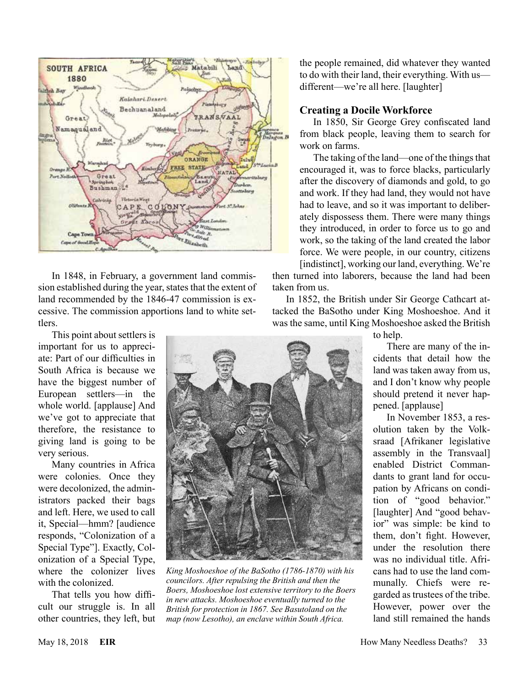

In 1848, in February, a government land commission established during the year, states that the extent of land recommended by the 1846-47 commission is excessive. The commission apportions land to white settlers.

This point about settlers is important for us to appreciate: Part of our difficulties in South Africa is because we have the biggest number of European settlers—in the whole world. [applause] And we've got to appreciate that therefore, the resistance to giving land is going to be very serious.

Many countries in Africa were colonies. Once they were decolonized, the administrators packed their bags and left. Here, we used to call it, Special—hmm? [audience responds, "Colonization of a Special Type"]. Exactly, Colonization of a Special Type, where the colonizer lives with the colonized.

That tells you how difficult our struggle is. In all other countries, they left, but the people remained, did whatever they wanted to do with their land, their everything. With us different—we're all here. [laughter]

#### **Creating a Docile Workforce**

In 1850, Sir George Grey confiscated land from black people, leaving them to search for work on farms.

The taking of the land—one of the things that encouraged it, was to force blacks, particularly after the discovery of diamonds and gold, to go and work. If they had land, they would not have had to leave, and so it was important to deliberately dispossess them. There were many things they introduced, in order to force us to go and work, so the taking of the land created the labor force. We were people, in our country, citizens [indistinct], working our land, everything. We're

then turned into laborers, because the land had been taken from us.

In 1852, the British under Sir George Cathcart attacked the BaSotho under King Moshoeshoe. And it was the same, until King Moshoeshoe asked the British



*King Moshoeshoe of the BaSotho (1786-1870) with his councilors. After repulsing the British and then the Boers, Moshoeshoe lost extensive territory to the Boers in new attacks. Moshoeshoe eventually turned to the British for protection in 1867. See Basutoland on the map (now Lesotho), an enclave within South Africa.*

to help.

There are many of the incidents that detail how the land was taken away from us, and I don't know why people should pretend it never happened. [applause]

In November 1853, a resolution taken by the Volksraad [Afrikaner legislative assembly in the Transvaal] enabled District Commandants to grant land for occupation by Africans on condition of "good behavior." [laughter] And "good behavior" was simple: be kind to them, don't fight. However, under the resolution there was no individual title. Africans had to use the land communally. Chiefs were regarded as trustees of the tribe. However, power over the land still remained the hands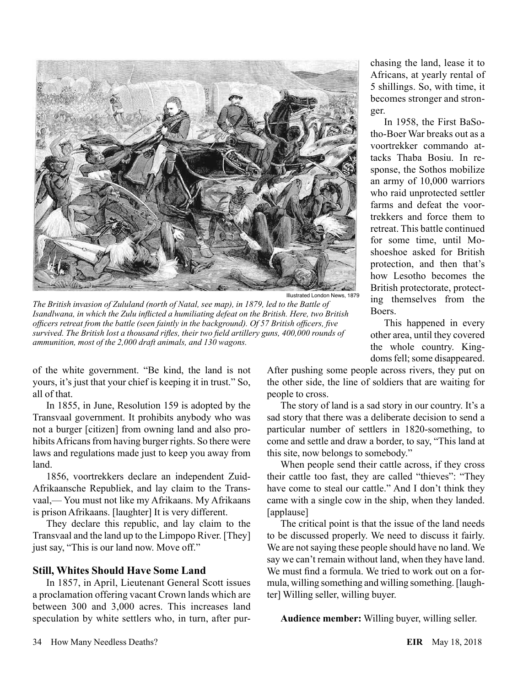

Illustrated London News, 1879

*The British invasion of Zululand (north of Natal, see map), in 1879, led to the Battle of Isandlwana, in which the Zulu inflicted a humiliating defeat on the British. Here, two British officers retreat from the battle (seen faintly in the background). Of 57 British officers, five survived. The British lost a thousand rifles, their two field artillery guns, 400,000 rounds of ammunition, most of the 2,000 draft animals, and 130 wagons.*

of the white government. "Be kind, the land is not yours, it's just that your chief is keeping it in trust." So, all of that.

In 1855, in June, Resolution 159 is adopted by the Transvaal government. It prohibits anybody who was not a burger [citizen] from owning land and also prohibits Africans from having burger rights. So there were laws and regulations made just to keep you away from land.

1856, voortrekkers declare an independent Zuid-Afrikaansche Republiek, and lay claim to the Transvaal,— You must not like my Afrikaans. My Afrikaans is prison Afrikaans. [laughter] It is very different.

They declare this republic, and lay claim to the Transvaal and the land up to the Limpopo River. [They] just say, "This is our land now. Move off."

## **Still, Whites Should Have Some Land**

In 1857, in April, Lieutenant General Scott issues a proclamation offering vacant Crown lands which are between 300 and 3,000 acres. This increases land speculation by white settlers who, in turn, after purchasing the land, lease it to Africans, at yearly rental of 5 shillings. So, with time, it becomes stronger and stronger.

In 1958, the First BaSotho-Boer War breaks out as a voortrekker commando attacks Thaba Bosiu. In response, the Sothos mobilize an army of 10,000 warriors who raid unprotected settler farms and defeat the voortrekkers and force them to retreat. This battle continued for some time, until Moshoeshoe asked for British protection, and then that's how Lesotho becomes the British protectorate, protecting themselves from the Boers.

This happened in every other area, until they covered the whole country. Kingdoms fell; some disappeared.

After pushing some people across rivers, they put on the other side, the line of soldiers that are waiting for people to cross.

The story of land is a sad story in our country. It's a sad story that there was a deliberate decision to send a particular number of settlers in 1820-something, to come and settle and draw a border, to say, "This land at this site, now belongs to somebody."

When people send their cattle across, if they cross their cattle too fast, they are called "thieves": "They have come to steal our cattle." And I don't think they came with a single cow in the ship, when they landed. [applause]

The critical point is that the issue of the land needs to be discussed properly. We need to discuss it fairly. We are not saying these people should have no land. We say we can't remain without land, when they have land. We must find a formula. We tried to work out on a formula, willing something and willing something. [laughter] Willing seller, willing buyer.

**Audience member:** Willing buyer, willing seller.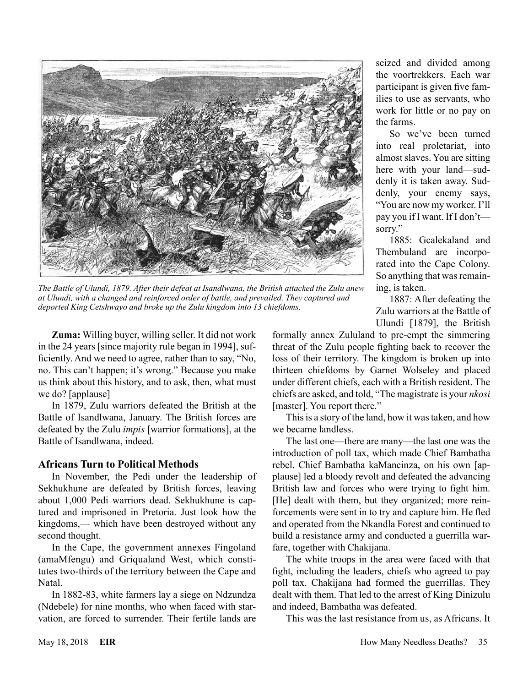

*The Battle of Ulundi, 1879. After their defeat at Isandlwana, the British attacked the Zulu anew at Ulundi, with a changed and reinforced order of battle, and prevailed. They captured and deported King Cetshwayo and broke up the Zulu kingdom into 13 chiefdoms.*

**Zuma:** Willing buyer, willing seller. It did not work in the 24 years [since majority rule began in 1994], sufficiently. And we need to agree, rather than to say, "No, no. This can't happen; it's wrong." Because you make us think about this history, and to ask, then, what must we do? [applause]

In 1879, Zulu warriors defeated the British at the Battle of Isandlwana, January. The British forces are defeated by the Zulu *impis* [warrior formations], at the Battle of Isandlwana, indeed.

#### **Africans Turn to Political Methods**

In November, the Pedi under the leadership of Sekhukhune are defeated by British forces, leaving about 1,000 Pedi warriors dead. Sekhukhune is captured and imprisoned in Pretoria. Just look how the kingdoms,— which have been destroyed without any second thought.

In the Cape, the government annexes Fingoland (amaMfengu) and Griqualand West, which constitutes two-thirds of the territory between the Cape and Natal.

In 1882-83, white farmers lay a siege on Ndzundza (Ndebele) for nine months, who when faced with starvation, are forced to surrender. Their fertile lands are seized and divided among the voortrekkers. Each war participant is given five families to use as servants, who work for little or no pay on the farms.

So we've been turned into real proletariat, into almost slaves. You are sitting here with your land—suddenly it is taken away. Suddenly, your enemy says, "You are now my worker. I'll pay you if I want. If I don't sorry."

1885: Gcalekaland and Thembuland are incorporated into the Cape Colony. So anything that was remaining, is taken.

1887: After defeating the Zulu warriors at the Battle of Ulundi [1879], the British

formally annex Zululand to pre-empt the simmering threat of the Zulu people fighting back to recover the loss of their territory. The kingdom is broken up into thirteen chiefdoms by Garnet Wolseley and placed under different chiefs, each with a British resident. The chiefs are asked, and told, "The magistrate is your *nkosi* [master]. You report there."

This is a story of the land, how it was taken, and how we became landless.

The last one—there are many—the last one was the introduction of poll tax, which made Chief Bambatha rebel. Chief Bambatha kaMancinza, on his own [applause] led a bloody revolt and defeated the advancing British law and forces who were trying to fight him. [He] dealt with them, but they organized; more reinforcements were sent in to try and capture him. He fled and operated from the Nkandla Forest and continued to build a resistance army and conducted a guerrilla warfare, together with Chakijana.

The white troops in the area were faced with that fight, including the leaders, chiefs who agreed to pay poll tax. Chakijana had formed the guerrillas. They dealt with them. That led to the arrest of King Dinizulu and indeed, Bambatha was defeated.

This was the last resistance from us, as Africans. It